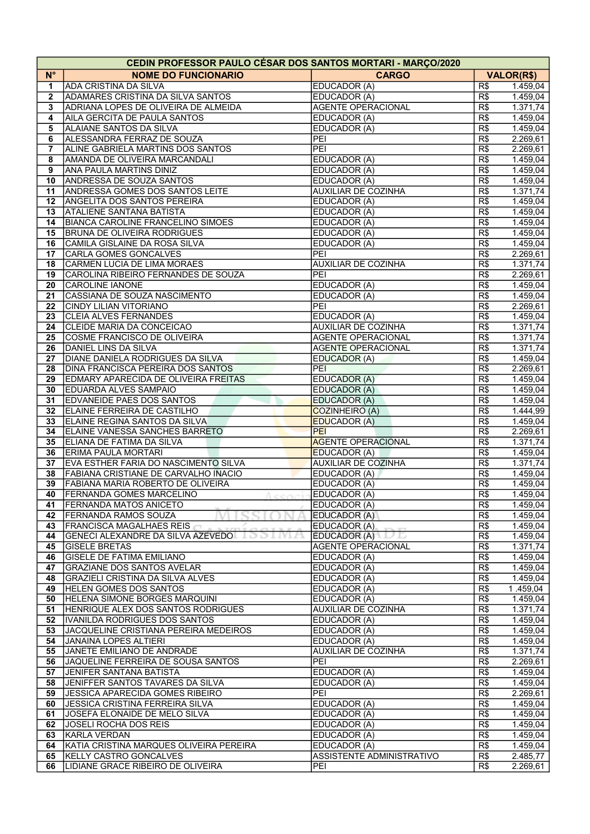|                         | <b>CEDIN PROFESSOR PAULO CÉSAR DOS SANTOS MORTARI - MARÇO/2020</b> |                            |                  |                   |
|-------------------------|--------------------------------------------------------------------|----------------------------|------------------|-------------------|
| $N^{\circ}$             | <b>NOME DO FUNCIONARIO</b>                                         | <b>CARGO</b>               |                  | <b>VALOR(R\$)</b> |
| 1                       | <b>ADA CRISTINA DA SILVA</b>                                       | EDUCADOR (A)               | R\$              | 1.459,04          |
| $\mathbf{2}$            | <b>ADAMARES CRISTINA DA SILVA SANTOS</b>                           | EDUCADOR (A)               | R\$              | 1.459,04          |
| 3                       | ADRIANA LOPES DE OLIVEIRA DE ALMEIDA                               | <b>AGENTE OPERACIONAL</b>  | R\$              | 1.371,74          |
| $\overline{\mathbf{4}}$ | AILA GERCITA DE PAULA SANTOS                                       | EDUCADOR (A)               | R\$              | 1.459,04          |
| 5                       | ALAIANE SANTOS DA SILVA                                            | EDUCADOR (A)               | R\$              | 1.459,04          |
| 6                       | ALESSANDRA FERRAZ DE SOUZA                                         | PEI                        | R\$              | 2.269,61          |
| 7                       | ALINE GABRIELA MARTINS DOS SANTOS                                  | PEI                        | R\$              | 2.269,61          |
| 8                       | AMANDA DE OLIVEIRA MARCANDALI                                      | EDUCADOR (A)               | R\$              | 1.459,04          |
| 9                       | ANA PAULA MARTINS DINIZ                                            | EDUCADOR (A)               | R\$              | 1.459,04          |
| 10                      | <b>ANDRESSA DE SOUZA SANTOS</b>                                    | EDUCADOR (A)               | $\overline{R\$}$ | 1.459,04          |
| 11                      | <b>ANDRESSA GOMES DOS SANTOS LEITE</b>                             | <b>AUXILIAR DE COZINHA</b> | R\$              | 1.371,74          |
| 12                      | <b>ANGELITA DOS SANTOS PEREIRA</b>                                 | EDUCADOR (A)               | R\$              | 1.459,04          |
| 13                      | <b>ATALIENE SANTANA BATISTA</b>                                    | EDUCADOR (A)               | R\$              | 1.459,04          |
| 14                      | <b>BIANCA CAROLINE FRANCELINO SIMOES</b>                           | EDUCADOR (A)               | R\$              | 1.459,04          |
| 15                      | <b>BRUNA DE OLIVEIRA RODRIGUES</b>                                 | EDUCADOR (A)               | R\$              | 1.459,04          |
| 16                      | CAMILA GISLAINE DA ROSA SILVA                                      | EDUCADOR (A)               | R\$              | 1.459,04          |
| 17                      | <b>CARLA GOMES GONCALVES</b>                                       | PEI                        | R\$              | 2.269,61          |
| 18                      | <b>CARMEN LUCIA DE LIMA MORAES</b>                                 | <b>AUXILIAR DE COZINHA</b> | R\$              | 1.371,74          |
| 19                      | CAROLINA RIBEIRO FERNANDES DE SOUZA                                | PEI                        | R\$              | 2.269,61          |
| 20                      | <b>CAROLINE IANONE</b>                                             | EDUCADOR (A)               | R\$              | 1.459,04          |
| 21                      | CASSIANA DE SOUZA NASCIMENTO                                       | EDUCADOR (A)               | R\$              | 1.459,04          |
| 22                      | CINDY LILIAN VITORIANO                                             | PEI                        | R\$              | 2.269,61          |
| 23                      | <b>CLEIA ALVES FERNANDES</b>                                       | EDUCADOR (A)               | R\$              | 1.459,04          |
| 24                      | <b>CLEIDE MARIA DA CONCEICAO</b>                                   | <b>AUXILIAR DE COZINHA</b> | R\$              | 1.371,74          |
| 25                      | COSME FRANCISCO DE OLIVEIRA                                        | <b>AGENTE OPERACIONAL</b>  | R\$              | 1.371,74          |
| 26                      | DANIEL LINS DA SILVA                                               | <b>AGENTE OPERACIONAL</b>  | R\$              | 1.371,74          |
| 27                      | DIANE DANIELA RODRIGUES DA SILVA                                   | <b>EDUCADOR (A)</b>        | R\$              | 1.459,04          |
| 28                      | DINA FRANCISCA PEREIRA DOS SANTOS                                  | <b>PEI</b>                 | R\$              | 2.269,61          |
| 29                      | <b>EDMARY APARECIDA DE OLIVEIRA FREITAS</b>                        | <b>EDUCADOR (A)</b>        | R\$              | 1.459,04          |
| 30                      | <b>EDUARDA ALVES SAMPAIO</b>                                       | EDUCADOR (A)               | R\$              | 1.459,04          |
| 31                      | <b>EDVANEIDE PAES DOS SANTOS</b>                                   | <b>EDUCADOR (A)</b>        | R\$              | 1.459,04          |
| 32                      | ELAINE FERREIRA DE CASTILHO                                        | COZINHEIRO (A)             | R\$              | 1.444,99          |
| 33                      | ELAINE REGINA SANTOS DA SILVA                                      | <b>EDUCADOR (A)</b>        | R\$              | 1.459,04          |
| 34                      | ELAINE VANESSA SANCHES BARRETO                                     | PEI                        | R\$              | 2.269,61          |
| 35                      | ELIANA DE FATIMA DA SILVA                                          | <b>AGENTE OPERACIONAL</b>  | R\$              | 1.371,74          |
| 36                      | <b>ERIMA PAULA MORTARI</b>                                         | <b>EDUCADOR (A)</b>        | R\$              | 1.459,04          |
| 37                      | EVA ESTHER FARIA DO NASCIMENTO SILVA                               | <b>AUXILIAR DE COZINHA</b> | R\$              | 1.371,74          |
| 38                      | FABIANA CRISTIANE DE CARVALHO INACIO                               | EDUCADOR (A)               | R\$              | 1.459,04          |
| 39                      | FABIANA MARIA ROBERTO DE OLIVEIRA                                  | EDUCADOR (A)               | R\$              | 1.459,04          |
| 40                      | <b>FERNANDA GOMES MARCELINO</b><br>Acenci                          | EDUCADOR (A)               | R\$              | 1.459,04          |
| 41                      | <b>FERNANDA MATOS ANICETO</b>                                      | EDUCADOR (A)               | R\$              | 1.459,04          |
| 42                      | <b>FERNANDA RAMOS SOUZA</b>                                        | EDUCADOR (A)               | R\$              | 1.459,04          |
| 43                      | <b>IFRANCISCA MAGALHAES REIS</b>                                   | EDUCADOR (A)               | R\$              | 1.459,04          |
| 44                      | <b>GENECI ALEXANDRE DA SILVA AZEVEDO</b><br>199                    | EDUCADOR (A)               | R\$              | 1.459,04          |
| 45                      | <b>GISELE BRETAS</b>                                               | <b>AGENTE OPERACIONAL</b>  | R\$              | 1.371,74          |
| 46                      | <b>GISELE DE FATIMA EMILIANO</b>                                   | EDUCADOR (A)               | R\$              | 1.459,04          |
| 47                      | <b>GRAZIANE DOS SANTOS AVELAR</b>                                  | EDUCADOR (A)               | R\$              | 1.459,04          |
| 48                      | <b>GRAZIELI CRISTINA DA SILVA ALVES</b>                            | EDUCADOR (A)               | R\$              | 1.459,04          |
| 49                      | HELEN GOMES DOS SANTOS                                             | EDUCADOR (A)               | R\$              | 1.459,04          |
| 50                      | HELENA SIMONE BORGES MARQUINI                                      | EDUCADOR (A)               | R\$              | 1.459,04          |
| 51                      | HENRIQUE ALEX DOS SANTOS RODRIGUES                                 | <b>AUXILIAR DE COZINHA</b> | R\$              | 1.371,74          |
| 52                      | IVANILDA RODRIGUES DOS SANTOS                                      | EDUCADOR (A)               | R\$              | 1.459,04          |
| 53                      | JACQUELINE CRISTIANA PEREIRA MEDEIROS                              | EDUCADOR (A)               | R\$              | 1.459,04          |
| 54                      | <b>JANAINA LOPES ALTIERI</b>                                       | EDUCADOR (A)               | R\$              | 1.459,04          |
| 55                      | JANETE EMILIANO DE ANDRADE                                         | <b>AUXILIAR DE COZINHA</b> | R\$              | 1.371,74          |
| 56                      | JAQUELINE FERREIRA DE SOUSA SANTOS                                 | PEI                        | R\$              | 2.269,61          |
| 57                      | JENIFER SANTANA BATISTA                                            | EDUCADOR (A)               | R\$              | 1.459,04          |
| 58                      | JENIFFER SANTOS TAVARES DA SILVA                                   | EDUCADOR (A)               | R\$              | 1.459,04          |
| 59                      | JESSICA APARECIDA GOMES RIBEIRO                                    | PEI                        | R\$              | 2.269,61          |
| 60                      | <b>JESSICA CRISTINA FERREIRA SILVA</b>                             | EDUCADOR (A)               | R\$              | 1.459,04          |
| 61                      | JOSEFA ELONAIDE DE MELO SILVA                                      | EDUCADOR (A)               | R\$              | 1.459,04          |
| 62                      | JOSELI ROCHA DOS REIS                                              | EDUCADOR (A)               | R\$              | 1.459,04          |
| 63                      | KARLA VERDAN                                                       | EDUCADOR (A)               | R\$              | 1.459,04          |
| 64                      | KATIA CRISTINA MARQUES OLIVEIRA PEREIRA                            | EDUCADOR (A)               | R\$              | 1.459,04          |
| 65                      | KELLY CASTRO GONCALVES                                             | ASSISTENTE ADMINISTRATIVO  | R\$              | 2.485,77          |
| 66                      | LIDIANE GRACE RIBEIRO DE OLIVEIRA                                  | PEI                        | R\$              | 2.269,61          |